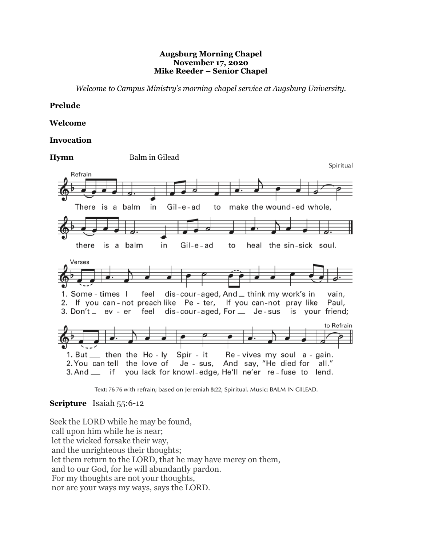### **Augsburg Morning Chapel November 17, 2020 Mike Reeder – Senior Chapel**

*Welcome to Campus Ministry's morning chapel service at Augsburg University.*

### **Prelude**

### **Welcome**

### **Invocation**



Text: 76 76 with refrain; based on Jeremiah 8:22; Spiritual. Music: BALM IN GILEAD.

## **Scripture** Isaiah 55:6-12

Seek the LORD while he may be found, call upon him while he is near; let the wicked forsake their way, and the unrighteous their thoughts; let them return to the LORD, that he may have mercy on them, and to our God, for he will abundantly pardon. For my thoughts are not your thoughts, nor are your ways my ways, says the LORD.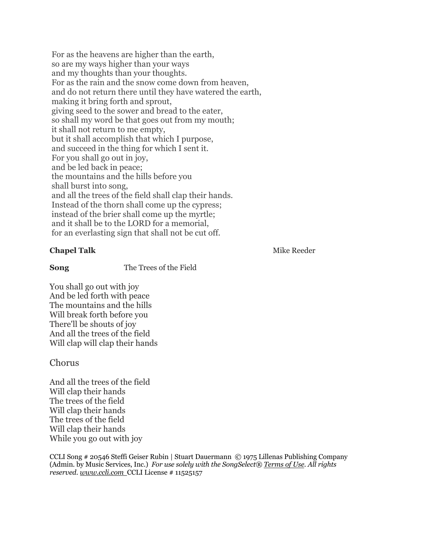For as the heavens are higher than the earth, so are my ways higher than your ways and my thoughts than your thoughts. For as the rain and the snow come down from heaven, and do not return there until they have watered the earth, making it bring forth and sprout, giving seed to the sower and bread to the eater, so shall my word be that goes out from my mouth; it shall not return to me empty, but it shall accomplish that which I purpose, and succeed in the thing for which I sent it. For you shall go out in joy, and be led back in peace; the mountains and the hills before you shall burst into song, and all the trees of the field shall clap their hands. Instead of the thorn shall come up the cypress; instead of the brier shall come up the myrtle; and it shall be to the LORD for a memorial, for an everlasting sign that shall not be cut off.

## **Chapel Talk** Mike Reeder

**Song** The Trees of the Field

You shall go out with joy And be led forth with peace The mountains and the hills Will break forth before you There'll be shouts of joy And all the trees of the field Will clap will clap their hands

# Chorus

And all the trees of the field Will clap their hands The trees of the field Will clap their hands The trees of the field Will clap their hands While you go out with joy

CCLI Song # 20546 Steffi Geiser Rubin | Stuart Dauermann © 1975 Lillenas Publishing Company (Admin. by Music Services, Inc.) *For use solely with the SongSelect® Terms of Use. All rights reserved. www.ccli.com* CCLI License # 11525157